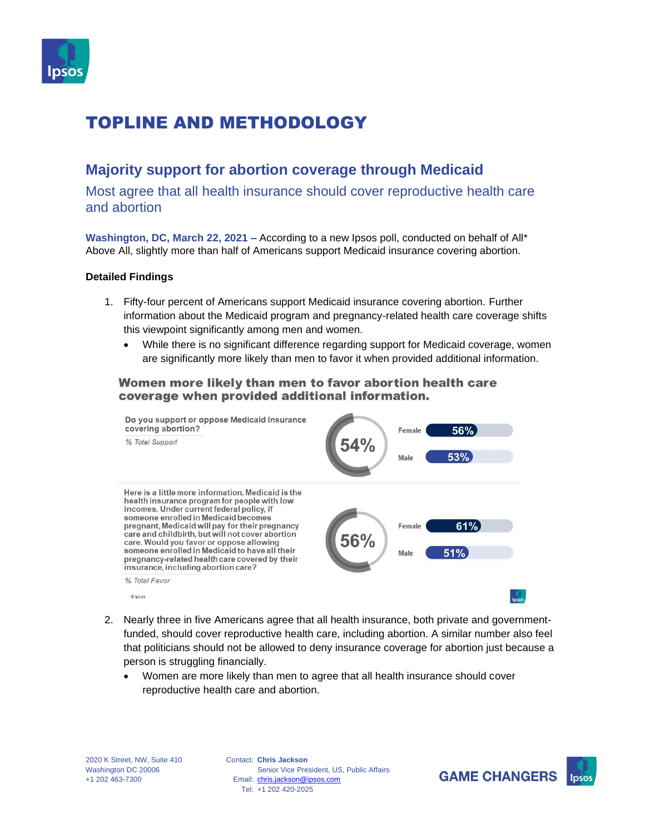

### **Majority support for abortion coverage through Medicaid**

Most agree that all health insurance should cover reproductive health care and abortion

**Washington, DC, March 22, 2021 –** According to a new Ipsos poll, conducted on behalf of All\* Above All, slightly more than half of Americans support Medicaid insurance covering abortion.

#### **Detailed Findings**

- 1. Fifty-four percent of Americans support Medicaid insurance covering abortion. Further information about the Medicaid program and pregnancy-related health care coverage shifts this viewpoint significantly among men and women.
	- While there is no significant difference regarding support for Medicaid coverage, women are significantly more likely than men to favor it when provided additional information.

### Women more likely than men to favor abortion health care coverage when provided additional information.



- 2. Nearly three in five Americans agree that all health insurance, both private and governmentfunded, should cover reproductive health care, including abortion. A similar number also feel that politicians should not be allowed to deny insurance coverage for abortion just because a person is struggling financially.
	- Women are more likely than men to agree that all health insurance should cover reproductive health care and abortion.

Contact: **Chris Jackson** Email: [chris.jackson@ipsos.com](mailto:chris.jackson@ipsos.com) Tel: +1 202 420-2025 Senior Vice President, US, Public Affairs

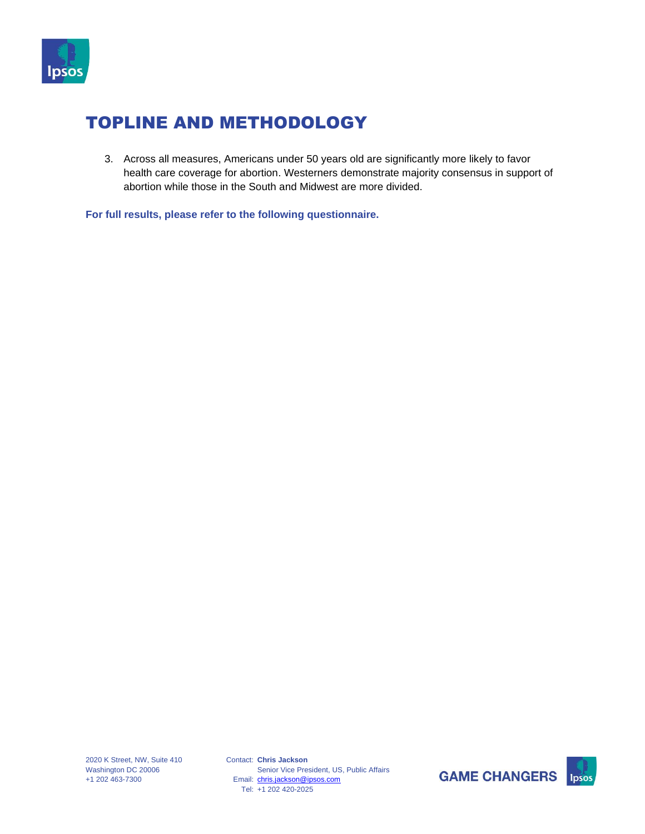

3. Across all measures, Americans under 50 years old are significantly more likely to favor health care coverage for abortion. Westerners demonstrate majority consensus in support of abortion while those in the South and Midwest are more divided.

**For full results, please refer to the following questionnaire.** 



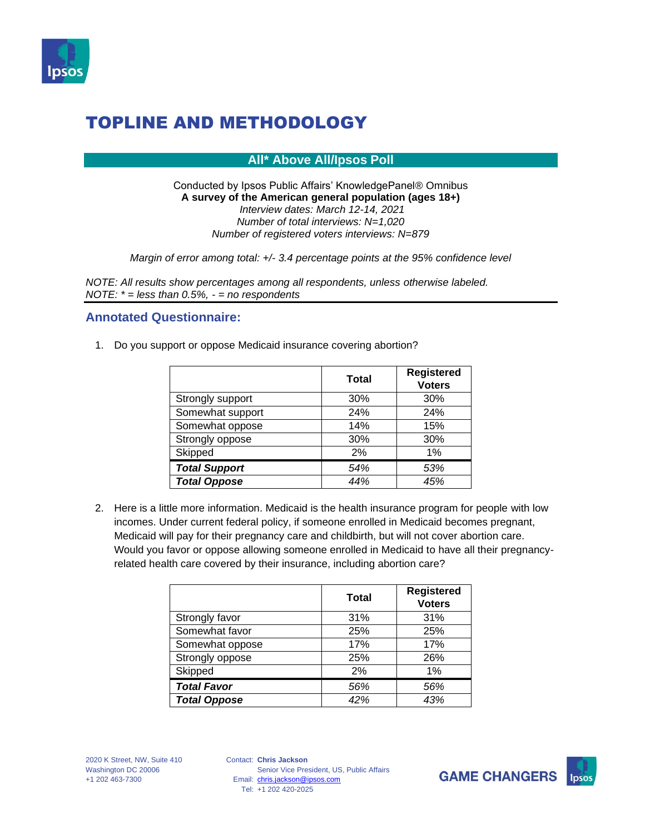

**All\* Above All/Ipsos Poll**

Conducted by Ipsos Public Affairs' KnowledgePanel® Omnibus **A survey of the American general population (ages 18+)** *Interview dates: March 12-14, 2021 Number of total interviews: N=1,020 Number of registered voters interviews: N=879*

*Margin of error among total: +/- 3.4 percentage points at the 95% confidence level*

*NOTE: All results show percentages among all respondents, unless otherwise labeled. NOTE: \* = less than 0.5%, - = no respondents*

### **Annotated Questionnaire:**

1. Do you support or oppose Medicaid insurance covering abortion?

|                      | Total | <b>Registered</b><br><b>Voters</b> |
|----------------------|-------|------------------------------------|
| Strongly support     | 30%   | 30%                                |
| Somewhat support     | 24%   | 24%                                |
| Somewhat oppose      | 14%   | 15%                                |
| Strongly oppose      | 30%   | 30%                                |
| Skipped              | 2%    | 1%                                 |
| <b>Total Support</b> | 54%   | 53%                                |
| <b>Total Oppose</b>  | 44%   | 45%                                |

2. Here is a little more information. Medicaid is the health insurance program for people with low incomes. Under current federal policy, if someone enrolled in Medicaid becomes pregnant, Medicaid will pay for their pregnancy care and childbirth, but will not cover abortion care. Would you favor or oppose allowing someone enrolled in Medicaid to have all their pregnancyrelated health care covered by their insurance, including abortion care?

|                     | <b>Total</b> | <b>Registered</b><br><b>Voters</b> |
|---------------------|--------------|------------------------------------|
| Strongly favor      | 31%          | 31%                                |
| Somewhat favor      | 25%          | 25%                                |
| Somewhat oppose     | 17%          | 17%                                |
| Strongly oppose     | 25%          | 26%                                |
| Skipped             | 2%           | 1%                                 |
| <b>Total Favor</b>  | 56%          | 56%                                |
| <b>Total Oppose</b> | 42%          | 43%                                |



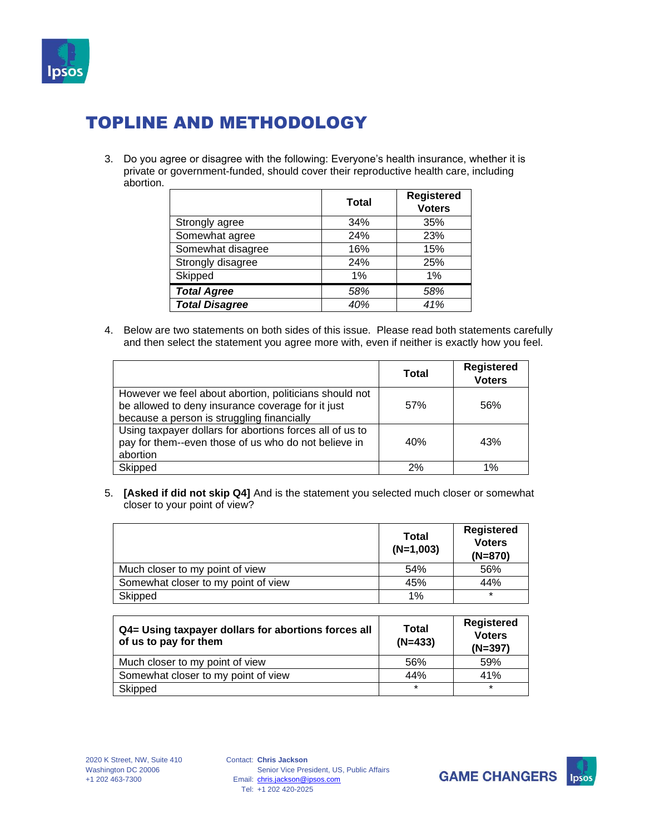

3. Do you agree or disagree with the following: Everyone's health insurance, whether it is private or government-funded, should cover their reproductive health care, including abortion. \_\_\_\_\_

|                       | <b>Total</b> | <b>Registered</b><br><b>Voters</b> |
|-----------------------|--------------|------------------------------------|
| Strongly agree        | 34%          | 35%                                |
| Somewhat agree        | 24%          | 23%                                |
| Somewhat disagree     | 16%          | 15%                                |
| Strongly disagree     | 24%          | 25%                                |
| Skipped               | 1%           | 1%                                 |
| <b>Total Agree</b>    | 58%          | 58%                                |
| <b>Total Disagree</b> | 40%          | 41%                                |

4. Below are two statements on both sides of this issue. Please read both statements carefully and then select the statement you agree more with, even if neither is exactly how you feel.

|                                                                                                                                                           | <b>Total</b> | <b>Registered</b><br><b>Voters</b> |
|-----------------------------------------------------------------------------------------------------------------------------------------------------------|--------------|------------------------------------|
| However we feel about abortion, politicians should not<br>be allowed to deny insurance coverage for it just<br>because a person is struggling financially | 57%          | 56%                                |
| Using taxpayer dollars for abortions forces all of us to<br>pay for them--even those of us who do not believe in<br>abortion                              | 40%          | 43%                                |
| Skipped                                                                                                                                                   | 2%           | 1%                                 |

5. **[Asked if did not skip Q4]** And is the statement you selected much closer or somewhat closer to your point of view?

|                                     | <b>Total</b><br>$(N=1,003)$ | <b>Registered</b><br><b>Voters</b><br>$(N=870)$ |
|-------------------------------------|-----------------------------|-------------------------------------------------|
| Much closer to my point of view     | 54%                         | 56%                                             |
| Somewhat closer to my point of view | 45%                         | 44%                                             |
| Skipped                             | $1\%$                       | $\star$                                         |

| Q4= Using taxpayer dollars for abortions forces all<br>of us to pay for them | Total<br>$(N=433)$ | <b>Registered</b><br><b>Voters</b><br>$(N=397)$ |
|------------------------------------------------------------------------------|--------------------|-------------------------------------------------|
| Much closer to my point of view                                              | 56%                | 59%                                             |
| Somewhat closer to my point of view                                          | 44%                | 41%                                             |
| Skipped                                                                      | $\star$            | $\star$                                         |



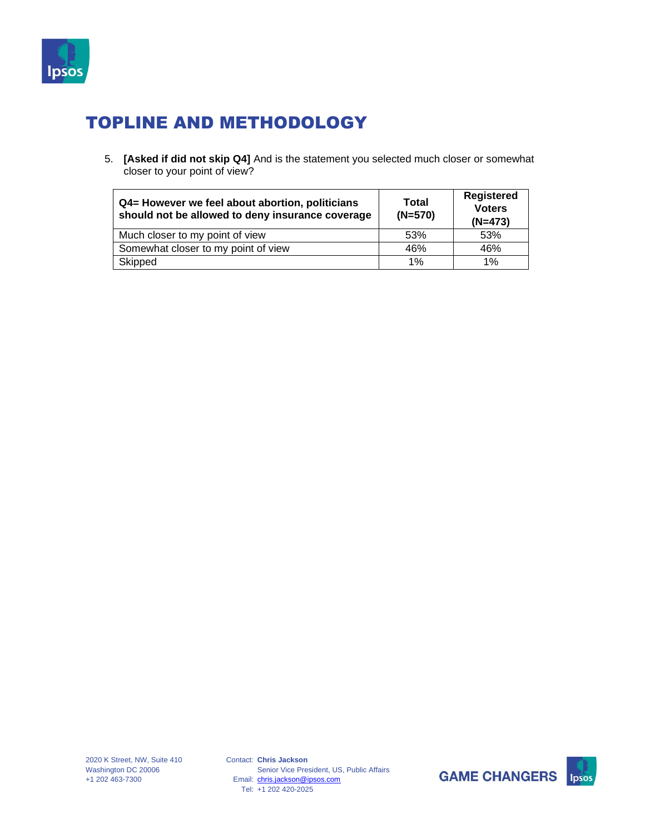

5. **[Asked if did not skip Q4]** And is the statement you selected much closer or somewhat closer to your point of view?

| Q4= However we feel about abortion, politicians<br>should not be allowed to deny insurance coverage | Total<br>$(N=570)$ | <b>Registered</b><br><b>Voters</b><br>$(N=473)$ |
|-----------------------------------------------------------------------------------------------------|--------------------|-------------------------------------------------|
| Much closer to my point of view                                                                     | 53%                | 53%                                             |
| Somewhat closer to my point of view                                                                 | 46%                | 46%                                             |
| Skipped                                                                                             | 1%                 | 1%                                              |



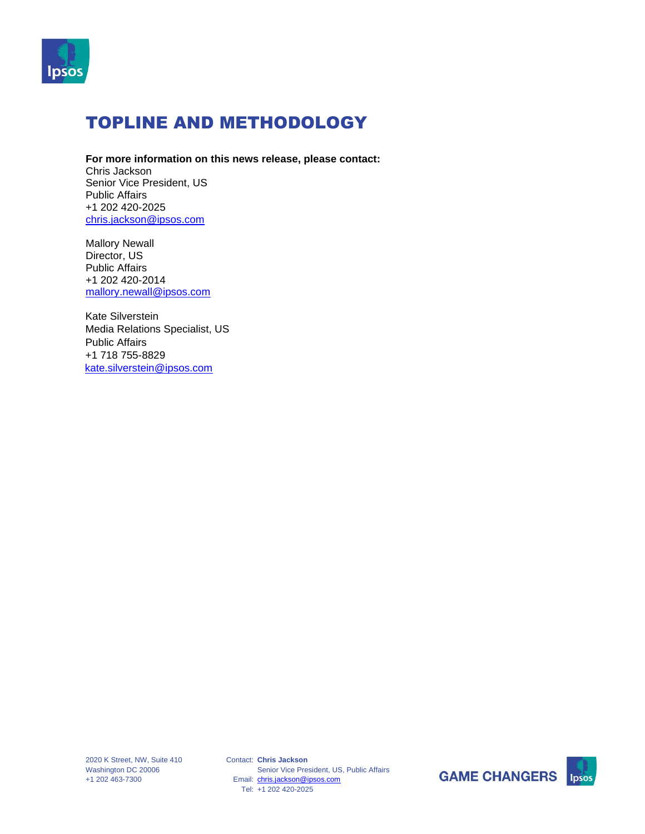

#### **For more information on this news release, please contact:**

Chris Jackson Senior Vice President, US Public Affairs +1 202 420-2025 [chris.jackson@ipsos.com](mailto:chris.jackson@ipsos.com)

Mallory Newall Director, US Public Affairs +1 202 420-2014 [mallory.newall@ipsos.com](mailto:mallory.newall@ipsos.com)

Kate Silverstein Media Relations Specialist, US Public Affairs +1 718 755-8829 kate.silverstein@ipsos.com



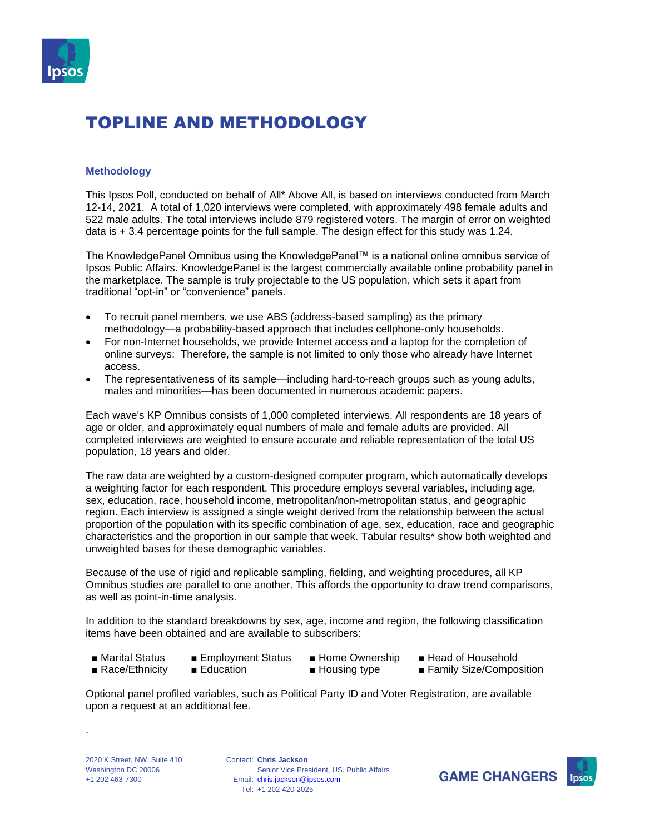

#### **Methodology**

This Ipsos Poll, conducted on behalf of All\* Above All, is based on interviews conducted from March 12-14, 2021. A total of 1,020 interviews were completed, with approximately 498 female adults and 522 male adults. The total interviews include 879 registered voters. The margin of error on weighted data is + 3.4 percentage points for the full sample. The design effect for this study was 1.24.

The KnowledgePanel Omnibus using the KnowledgePanel™ is a national online omnibus service of Ipsos Public Affairs. KnowledgePanel is the largest commercially available online probability panel in the marketplace. The sample is truly projectable to the US population, which sets it apart from traditional "opt-in" or "convenience" panels.

- To recruit panel members, we use ABS (address-based sampling) as the primary methodology—a probability-based approach that includes cellphone-only households.
- For non-Internet households, we provide Internet access and a laptop for the completion of online surveys: Therefore, the sample is not limited to only those who already have Internet access.
- The representativeness of its sample—including hard-to-reach groups such as young adults, males and minorities—has been documented in numerous academic papers.

Each wave's KP Omnibus consists of 1,000 completed interviews. All respondents are 18 years of age or older, and approximately equal numbers of male and female adults are provided. All completed interviews are weighted to ensure accurate and reliable representation of the total US population, 18 years and older.

The raw data are weighted by a custom-designed computer program, which automatically develops a weighting factor for each respondent. This procedure employs several variables, including age, sex, education, race, household income, metropolitan/non-metropolitan status, and geographic region. Each interview is assigned a single weight derived from the relationship between the actual proportion of the population with its specific combination of age, sex, education, race and geographic characteristics and the proportion in our sample that week. Tabular results\* show both weighted and unweighted bases for these demographic variables.

Because of the use of rigid and replicable sampling, fielding, and weighting procedures, all KP Omnibus studies are parallel to one another. This affords the opportunity to draw trend comparisons, as well as point-in-time analysis.

In addition to the standard breakdowns by sex, age, income and region, the following classification items have been obtained and are available to subscribers:

- 
- 
- 
- Marital Status Employment Status Home Ownership Head of Household
- Race/Ethnicity Education Housing type Family Size/Composition

Optional panel profiled variables, such as Political Party ID and Voter Registration, are available upon a request at an additional fee.

.

Contact: **Chris Jackson** Email: [chris.jackson@ipsos.com](mailto:chris.jackson@ipsos.com) Tel: +1 202 420-2025 Senior Vice President, US, Public Affairs